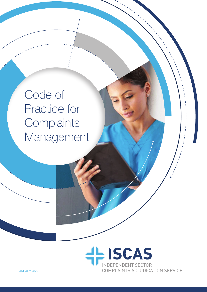Code of Practice for **Complaints** Management

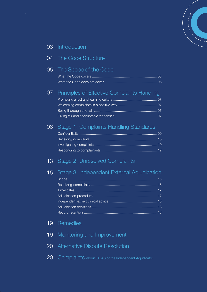#### 03 Introduction

#### 04 The Code Structure

#### 05 The Scope of the Code

#### 07 Principles of Effective Complaints Handling

#### 08 Stage 1: Complaints Handling Standards

#### 13 Stage 2: Unresolved Complaints

#### 15 Stage 3: Independent External Adjudication

#### 19 **Remedies**

- 19 Monitoring and Improvement
- 20 Alternative Dispute Resolution
- 20 Complaints about ISCAS or the Independent Adjudicator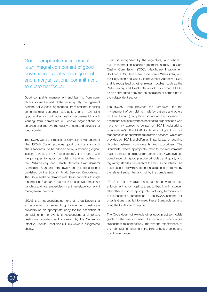Good complaints management is an integral component of good governance, quality management and an organisational commitment to customer focus.

Good complaints management and learning from complaints should be part of the wider quality management system. Actively seeking feedback from patients, focusing on enhancing customer satisfaction, and maximising opportunities for continuous quality improvement through learning from complaints will enable organisations to enhance and improve the quality of care and service that they provide.

The ISCAS Code of Practice for Complaints Management (the 'ISCAS Code') provides good practice standards (the 'Standards') to be adhered to by subscribing organisations across the UK ('subscribers'). It is aligned with the principles for good complaints handling outlined in the Parliamentary and Health Services Ombudsman's Complaints Standards Framework and related guidance published by the Scottish Public Services Ombudsman. The Code seeks to demonstrate these principles through a number of Standards that focus on effective complaints handling and are embedded in a three-stage complaint management process.

ISCAS is an independent not-for-profit organisation that is recognised by subscribing independent healthcare providers as an appropriate body for the escalation of complaints in the UK. It is independent of all private healthcare providers and is owned by the Centre for Effective Dispute Resolution (CEDR) which is a registered charity.

ISCAS is recognised by the regulators, with whom it has an information sharing agreement, namely the Care Quality Commission (CQC), Healthcare Improvement Scotland (HIS), Healthcare Inspectorate Wales (HIW) and the Regulation and Quality Improvement Authority (RQIA) and is recognised by other relevant bodies, such as the Parliamentary and Health Services Ombudsman (PHSO) as an appropriate body for the escalation of complaints in the independent sector.

The ISCAS Code provides the framework for the management of complaints made by patients and others on their behalf ('complainants') about the provision of healthcare services by those healthcare organisations who have formally agreed to be part of ISCAS ('subscribing organisations'). The ISCAS Code sets out good practice standards for independent adjudication services, which are provided by ISCAS, and offers an impartial way of resolving disputes between complainants and subscribers. The Standards, where appropriate, refer to the requirements made by the systems regulators across the UK who oversee compliance with good practice principles and quality and regulatory standards in each of the four UK countries. The costs associated with independent adjudication are met by the relevant subscriber and not by the complainant.

ISCAS is not a regulator and has no powers to take enforcement action against a subscriber. It will, however, take other action as appropriate, including termination of the subscriber's participation in the ISCAS scheme, for organisations that fail to meet these Standards or who bring the Code into disrepute.

The Code does not exclude other good practice models (such as the use of Patient Partners) and encourages subscribers to continuously improve the effectiveness of their complaints handling in the light of best practice and good governance.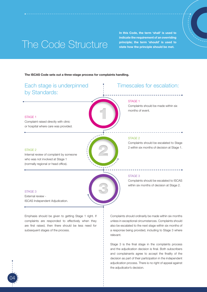## The Code Structure

04

subsequent stages of the process.

In this Code, the term 'shall' is used to indicate the requirement of an overriding principle; the term 'should' is used to state how the principle should be met.

#### The ISCAS Code sets out a three-stage process for complaints handling.



a response being provided, including to Stage 3 where relevant.

Stage 3 is the final stage in the complaints process and the adjudication decision is final. Both subscribers and complainants agree to accept the finality of the decision as part of their participation in the independent adjudication process. There is no right of appeal against the adjudicator's decision.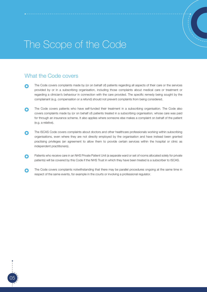## The Scope of the Code

## What the Code covers

- The Code covers complaints made by (or on behalf of) patients regarding all aspects of their care or the services  $\Omega$ provided by or in a subscribing organisation, including those complaints about medical care or treatment or regarding a clinician's behaviour in connection with the care provided. The specific remedy being sought by the complainant (e.g. compensation or a refund) should not prevent complaints from being considered.
- The Code covers patients who have self-funded their treatment in a subscribing organisation. The Code also ∩ covers complaints made by (or on behalf of) patients treated in a subscribing organisation, whose care was paid for through an insurance scheme. It also applies where someone else makes a complaint on behalf of the patient (e.g. a relative).
- The ISCAS Code covers complaints about doctors and other healthcare professionals working within subscribing ∩ organisations, even where they are not directly employed by the organisation and have instead been granted practising privileges (an agreement to allow them to provide certain services within the hospital or clinic as independent practitioners).
- Patients who receive care in an NHS Private Patient Unit (a separate ward or set of rooms allocated solely for private Ω patients) will be covered by this Code if the NHS Trust in which they have been treated is a subscriber to ISCAS.
- The Code covers complaints notwithstanding that there may be parallel procedures ongoing at the same time in  $\bullet$ respect of the same events, for example in the courts or involving a professional regulator.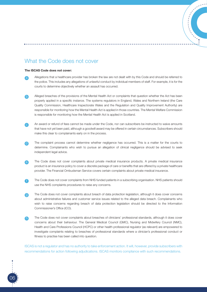### What the Code does not cover

#### The ISCAS Code does not cover:

06

- Allegations that a healthcare provider has broken the law are not dealt with by this Code and should be referred to the police. This includes any allegations of unlawful conduct by individual members of staff. For example, it is for the courts to determine objectively whether an assault has occurred. a
- Alleged breaches of the provisions of the Mental Health Act or complaints that question whether the Act has been properly applied in a specific instance. The systems regulators in England, Wales and Northern Ireland (the Care Quality Commission, Healthcare Inspectorate Wales and the Regulation and Quality Improvement Authority) are responsible for monitoring how the Mental Health Act is applied in those countries. The Mental Welfare Commission is responsible for monitoring how the Mental Health Act is applied in Scotland. b
- An award or refund of fees cannot be made under the Code, nor can subscribers be instructed to waive amounts that have not yet been paid, although a goodwill award may be offered in certain circumstances. Subscribers should make this clear to complainants early on in the process.  $\overline{c}$
- The complaint process cannot determine whether negligence has occurred. This is a matter for the courts to determine. Complainants who wish to pursue an allegation of clinical negligence should be advised to seek independent legal advice. d
- The Code does not cover complaints about private medical insurance products. A private medical insurance product is an insurance policy to cover a discrete package of care or benefits that are offered by a private healthcare provider. The Financial Ombudsman Service covers certain complaints about private medical insurance. e
- The Code does not cover complaints from NHS funded patients in a subscribing organisation. NHS patients should use the NHS complaints procedures to raise any concerns. f
- The Code does not cover complaints about breach of data protection legislation, although it does cover concerns about administrative failures and customer service issues related to the alleged data breach. Complainants who wish to raise concerns regarding breach of data protection legislation should be directed to the Information Commissioner's Office (ICO). g
- The Code does not cover complaints about breaches of clinicians' professional standards, although it does cover concerns about their behaviour. The General Medical Council (GMC), Nursing and Midwifery Council (NMC), Health and Care Professions Council (HCPC) or other health professional regulator (as relevant) are empowered to investigate complaints relating to breaches of professional standards where a clinician's professional conduct or fitness to practise has been called into question. h

ISCAS is not a regulator and has no authority to take enforcement action. It will, however, provide subscribers with recommendations for action following adjudications. ISCAS monitors compliance with such recommendations.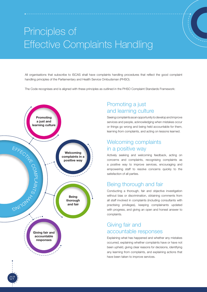# Principles of Effective Complaints Handling

All organisations that subscribe to ISCAS shall have complaints handling procedures that reflect the good complaint handling principles of the Parliamentary and Health Service Ombudsman (PHSO).

The Code recognises and is aligned with these principles as outlined in the PHSO Complaint Standards Framework:



07

## Promoting a just and learning culture

Seeing complaints as an opportunity to develop and improve services and people, acknowledging when mistakes occur or things go wrong and being held accountable for them, learning from complaints, and acting on lessons learned.

### Welcoming complaints in a positive way

Actively seeking and welcoming feedback, acting on concerns and complaints, recognising complaints as a positive way to improve services, encouraging and empowering staff to resolve concerns quickly to the satisfaction of all parties.

## Being thorough and fair

Conducting a thorough, fair and objective investigation without bias or discrimination, obtaining comments from all staff involved in complaints (including consultants with practising privileges), keeping complainants updated with progress, and giving an open and honest answer to complaints.

### Giving fair and accountable responses

Explaining what has happened and whether any mistakes occurred, explaining whether complaints have or have not been upheld, giving clear reasons for decisions, identifying any learning from complaints, and explaining actions that have been taken to improve services.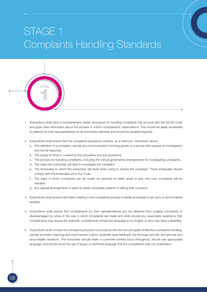# STAGE 1 Complaints Handling Standards



1. Subscribers shall have a comprehensive written procedure for handling complaints that accords with the ISCAS Code and gives clear information about the process to inform complainants' expectations. This should be easily accessible to patients (or their representatives) on all subscriber websites and should be updated regularly.

----------

- 2. Subscribers shall ensure that the complaints procedure contains, as a minimum, information about:
	- a. The definition of a complaint, namely any communication involving goods or a service that requires an investigation and formal response.
	- b. The scope of what is covered by the procedure and any exclusions.
	- c. The process for handling complaints, including the clinical governance arrangements for investigating complaints.
	- d. The steps the subscriber will take to investigate the complaint.
	- e. The timescales to which the subscriber will work when trying to resolve the complaint. These timescales should comply with the timescales set in the Code.
	- f. The ways in which complaints can be made, for example by letter, email or text, and how complaints will be handled.
	- g. Any special arrangements in place to assist vulnerable patients in raising their concerns.
- 3. Subscribers shall ensure information relating to the complaints process is readily accessible to all users of clinic/hospital facilities.
- 4. Subscribers shall ensure that complainants (or their representatives) are not deterred from lodging complaints or disadvantaged by virtue of the way in which complaints are made and shall provide any reasonable assistance that complainants may require (for example, complainants whose first language is not English or who may have a disability).
- 5. Subscribers shall conduct the complaints process in accordance with the four principles of effective complaints handling, namely promote a learning and improvement culture, positively seek feedback, be thorough and fair, and give fair and accountable decisions. The subscriber should retain a customer-centred focus throughout, should use appropriate language, and should avoid the use of jargon or technical language that the complainant may not understand.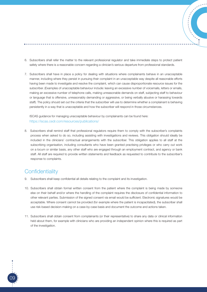- 6. Subscribers shall refer the matter to the relevant professional regulator and take immediate steps to protect patient safety where there is a reasonable concern regarding a clinician's serious departure from professional standards.
- 7. Subscribers shall have in place a policy for dealing with situations where complainants behave in an unacceptable manner, including where they persist in pursuing their complaint in an unacceptable way despite all reasonable efforts having been made to investigate and resolve the complaint, which can cause disproportionate resource issues for the subscriber. (Examples of unacceptable behaviour include: leaving an excessive number of voicemails, letters or emails, making an excessive number of telephone calls, making unreasonable demands on staff, subjecting staff to behaviour or language that is offensive, unreasonably demanding or aggressive, or being verbally abusive or harassing towards staff). The policy should set out the criteria that the subscriber will use to determine whether a complainant is behaving persistently in a way that is unacceptable and how the subscriber will respond in those circumstances.

ISCAS guidance for managing unacceptable behaviour by complainants can be found here: [https://iscas.cedr.com/resources/publications/](https://iscas.cedr.com/resources/publications/  )

8. Subscribers shall remind staff that professional regulators require them to comply with the subscriber's complaints process when asked to do so, including assisting with investigations and reviews. This obligation should ideally be included in the clinicians' contractual arrangements with the subscriber. This obligation applies to all staff at the subscribing organisation, including consultants who have been granted practising privileges or who carry out work on a locum or similar basis, any other staff who are engaged through an employment contract, and agency or bank staff. All staff are required to provide written statements and feedback as requested to contribute to the subscriber's response to complaints.

### **Confidentiality**

- 9. Subscribers shall keep confidential all details relating to the complaint and its investigation.
- 10. Subscribers shall obtain formal written consent from the patient where the complaint is being made by someone else on their behalf and/or where the handling of the complaint requires the disclosure of confidential information to other relevant parties. Submission of the signed consent via email would be sufficient. Electronic signatures would be acceptable. Where consent cannot be provided (for example where the patient is incapacitated), the subscriber shall use risk-based decision-making on a case-by-case basis and document the outcome and actions taken.
- 11. Subscribers shall obtain consent from complainants (or their representative) to share any data or clinical information held about them, for example with clinicians who are providing an independent opinion where this is required as part of the investigation.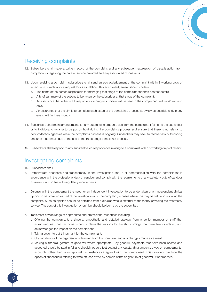## Receiving complaints

- 12. Subscribers shall make a written record of the complaint and any subsequent expression of dissatisfaction from complainants regarding the care or service provided and any associated discussions.
- 13. Upon receiving a complaint, subscribers shall send an acknowledgement of the complaint within 3 working days of receipt of a complaint or a request for its escalation. This acknowledgement should contain:
	- a. The name of the person responsible for managing that stage of the complaint and their contact details.
	- b. A brief summary of the actions to be taken by the subscriber at that stage of the complaint.
	- c. An assurance that either a full response or a progress update will be sent to the complainant within 20 working days.
	- d. An assurance that the aim is to complete each stage of the complaints process as swiftly as possible and, in any event, within three months.
- 14. Subscribers shall make arrangements for any outstanding amounts due from the complainant (either to the subscriber or to individual clinicians) to be put on hold during the complaints process and ensure that there is no referral to debt collection agencies while the complaints process is ongoing. Subscribers may seek to recover any outstanding amounts that remain due at the end of the three-stage complaints process.
- 15. Subscribers shall respond to any substantive correspondence relating to a complaint within 5 working days of receipt.

## Investigating complaints

16. Subscribers shall:

- a. Demonstrate openness and transparency in the investigation and in all communication with the complainant in accordance with the professional duty of candour and comply with the requirements of any statutory duty of candour as relevant and in line with regulatory requirements.
- b. Discuss with the complainant the need for an independent investigation to be undertaken or an independent clinical opinion to be obtained as part of the investigation into the complaint, in cases where this may be helpful in resolving the complaint. Such an opinion should be obtained from a clinician who is external to the facility providing the treatment/ service. The cost of this investigation or opinion should be borne by the subscriber.
- c. Implement a wide range of appropriate and professional responses including:
	- i. Offering the complainant, a sincere, empathetic and detailed apology from a senior member of staff that acknowledges what has gone wrong, explains the reasons for the shortcomings that have been identified, and acknowledges the impact on the complainant.
	- ii. Taking action to put things right for the complainant.
	- iii. Sharing details of the organisation's learning from the complaint and any changes made as a result.
	- iv. Making a financial gesture of good will where appropriate. Any goodwill payments that have been offered and accepted should be paid in full and should not be offset against any outstanding amounts owed on complainants' accounts, other than in exceptional circumstances if agreed with the complainant. This does not preclude the option of subscribers offering to write off fees owed by complainants as gesture of good will, if appropriate.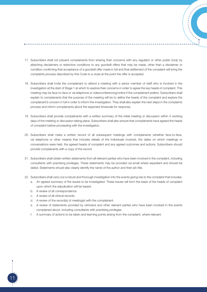- 17. Subscribers shall not prevent complainants from sharing their concerns with any regulator or other public body by attaching disclaimers or restrictive conditions to any goodwill offers that may be made, other than a disclaimer or condition confirming that acceptance of a goodwill offer made in full and final settlement of the complaint will bring the complaints process described by this Code to a close at the point the offer is accepted.
- 18. Subscribers shall invite the complainant to attend a meeting with a senior member of staff who is involved in the investigation at the start of Stage 1 at which to explore their concerns in order to agree the key heads of complaint. This meeting may be face-to-face or via telephone or videoconferencing/online if the complainant prefers. Subscribers shall explain to complainants that the purpose of the meeting will be to define the heads of the complaint and explore the complainant's concern in full in order to inform the investigation. They shall also explain the next steps in the complaints process and inform complainants about the expected timescale for response.
- 19. Subscribers shall provide complainants with a written summary of the initial meeting or discussion within 5 working days of the meeting or discussion taking place. Subscribers shall also ensure that complainants have agreed the heads of complaint before proceeding with the investigation.
- 20. Subscribers shall make a written record of all subsequent meetings with complainants (whether face-to-face, via telephone or other means) that includes details of the individuals involved, the dates on which meetings or conversations were held, the agreed heads of complaint and any agreed outcomes and actions. Subscribers should provide complainants with a copy of the record.
- 21. Subscribers shall obtain written statements from all relevant parties who have been involved in the complaint, including consultants with practising privileges. These statements may be provided via email where expedient and should be dated. Statements should also clearly identify the name of the author and their job title.
- 22. Subscribers shall carry out a robust and thorough investigation into the events giving rise to the complaint that includes:
	- a. An agreed summary of the issues to be investigated. These issues will form the basis of the heads of complaint upon which the adjudication will be based.
	- b. A review of all correspondence.
	- c. A review of all clinical records.

- d. A review of the record(s) of meeting(s) with the complainant.
- e. A review of statements provided by clinicians and other relevant parties who have been involved in the events complained about, including consultants with practising privileges.
- f. A summary of actions to be taken and learning points arising from the complaint, where relevant.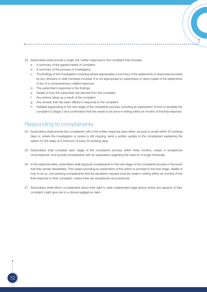

- a. A summary of the agreed heads of complaint.
- b. A summary of the process of investigation.
- c. The findings of the investigation including (where appropriate) a summary of the statements or responses provided by any clinicians or staff members involved. It is not appropriate for subscribers to send copies of the statements in lieu of a comprehensive collated response.
- d. The subscriber's response to the findings.
- e. Details of how the subscriber has learned from the complaint.
- f. Any actions taken as a result of the complaint.
- g. Any remedy that has been offered in response to the complaint.
- h. Detailed signposting to the next stage of the complaints process, including an explanation of how to escalate the complaint to Stage 2 and confirmation that this needs to be done in writing within six months of the final response.

#### Responding to complainants

- 24. Subscribers shall provide the complainant with a full written response (sent either via post or email) within 20 working days or, where the investigation or review is still ongoing, send a written update to the complainant explaining the reason for the delay at a minimum of every 20 working days.
- 25. Subscribers shall complete each stage of the complaints process within three months, unless in exceptional circumstances, and provide complainants with an explanation regarding the need for a longer timescale.
- 26. In the response letter, subscribers shall signpost complainants to the next stage of the complaints process in the event that they remain dissatisfied. This means providing an explanation of the option to proceed to the next stage, details of how to do so, and advising complainants that the escalation request must be made in writing within six months of the final response to their complaint, unless there are exceptional circumstances.
- 27. Subscribers shall inform complainants about their right to seek independent legal advice where any aspects of their complaint might give rise to a clinical negligence claim.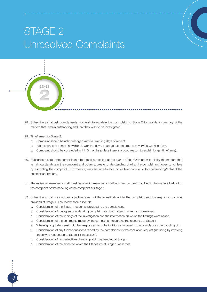# STAGE 2 Unresolved Complaints



- 28. Subscribers shall ask complainants who wish to escalate their complaint to Stage 2 to provide a summary of the matters that remain outstanding and that they wish to be investigated.
- 29. Timeframes for Stage 2:
	- a. Complaint should be acknowledged within 3 working days of receipt.
	- b. Full response to complaint within 20 working days, or an update on progress every 20 working days.
	- c. Complaint should be concluded within 3 months (unless there is a good reason to explain longer timeframe).
- 30. Subscribers shall invite complainants to attend a meeting at the start of Stage 2 in order to clarify the matters that remain outstanding in the complaint and obtain a greater understanding of what the complainant hopes to achieve by escalating the complaint. This meeting may be face-to-face or via telephone or videoconferencing/online if the complainant prefers.
- 31. The reviewing member of staff must be a senior member of staff who has not been involved in the matters that led to the complaint or the handling of the complaint at Stage 1.
- 32. Subscribers shall conduct an objective review of the investigation into the complaint and the response that was provided at Stage 1. The review should include:
	- a. Consideration of the Stage 1 response provided to the complainant.
	- b. Consideration of the agreed outstanding complaint and the matters that remain unresolved.
	- c. Consideration of the findings of the investigation and the information on which the findings were based.
	- d. Consideration of the comments made by the complainant regarding the response at Stage 1.
	- e. Where appropriate, seeking further responses from the individuals involved in the complaint or the handling of it.
	- f. Consideration of any further questions raised by the complainant in the escalation request (including by involving those who responded to Stage 1 if necessary).
	- g. Consideration of how effectively the complaint was handled at Stage 1.
	- h. Consideration of the extent to which the Standards at Stage 1 were met.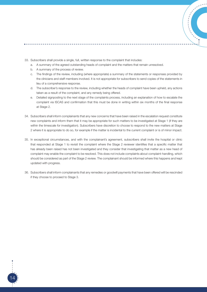33. Subscribers shall provide a single, full, written response to the complaint that includes:

- a. A summary of the agreed outstanding heads of complaint and the matters that remain unresolved.
- b. A summary of the process of review.
- c. The findings of the review, including (where appropriate) a summary of the statements or responses provided by the clinicians and staff members involved. It is not appropriate for subscribers to send copies of the statements in lieu of a comprehensive response.
- d. The subscriber's response to the review, including whether the heads of complaint have been upheld, any actions taken as a result of the complaint, and any remedy being offered.
- e. Detailed signposting to the next stage of the complaints process, including an explanation of how to escalate the complaint via ISCAS and confirmation that this must be done in writing within six months of the final response at Stage 2.
- 34. Subscribers shall inform complainants that any new concerns that have been raised in the escalation request constitute new complaints and inform them that it may be appropriate for such matters to be investigated at Stage 1 (if they are within the timescale for investigation). Subscribers have discretion to choose to respond to the new matters at Stage 2 where it is appropriate to do so, for example if the matter is incidental to the current complaint or is of minor impact.
- 35. In exceptional circumstances, and with the complainant's agreement, subscribers shall invite the hospital or clinic that responded at Stage 1 to revisit the complaint where the Stage 2 reviewer identifies that a specific matter that has already been raised has not been investigated and they consider that investigating that matter as a new head of complaint may enable the complaint to be resolved. This does not include complaints about complaint-handling, which should be considered as part of the Stage 2 review. The complainant should be informed where this happens and kept updated with progress.
- 36. Subscribers shall inform complainants that any remedies or goodwill payments that have been offered will be rescinded if they choose to proceed to Stage 3.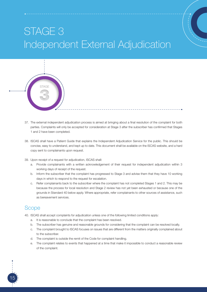# STAGE 3 Independent External Adjudication



37. The external independent adjudication process is aimed at bringing about a final resolution of the complaint for both parties. Complaints will only be accepted for consideration at Stage 3 after the subscriber has confirmed that Stages 1 and 2 have been completed.

-----------

- 38. ISCAS shall have a Patient Guide that explains the Independent Adjudication Service for the public. This should be concise, easy to understand, and kept up to date. This document shall be available on the ISCAS website, and a hard copy sent to complainants upon request.
- 39. Upon receipt of a request for adjudication, ISCAS shall:
	- a. Provide complainants with a written acknowledgement of their request for independent adjudication within 3 working days of receipt of the request.
	- b. Inform the subscriber that the complaint has progressed to Stage 3 and advise them that they have 10 working days in which to respond to the request for escalation.
	- c. Refer complainants back to the subscriber where the complaint has not completed Stages 1 and 2. This may be because the process for local resolution and Stage 2 review has not yet been exhausted or because one of the grounds in Standard 40 below apply. Where appropriate, refer complainants to other sources of assistance, such as bereavement services.

#### **Scope**

- 40. ISCAS shall accept complaints for adjudication unless one of the following limited conditions apply:
	- a. It is reasonable to conclude that the complaint has been resolved.
	- b. The subscriber has genuine and reasonable grounds for considering that the complaint can be resolved locally.
	- c. The complaint brought to ISCAS focuses on issues that are different from the matters originally complained about to the subscriber.
	- d. The complaint is outside the remit of the Code for complaint handling.
	- e. The complaint relates to events that happened at a time that make it impossible to conduct a reasonable review of the complaint.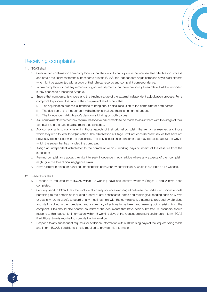

#### 41. ISCAS shall:

- a. Seek written confirmation from complainants that they wish to participate in the independent adjudication process and obtain their consent for the subscriber to provide ISCAS, the Independent Adjudicator and any clinical experts who might be appointed with a copy of their clinical records and complaint correspondence.
- b. Inform complainants that any remedies or goodwill payments that have previously been offered will be rescinded if they choose to proceed to Stage 3.
- c. Ensure that complainants understand the binding nature of the external independent adjudication process. For a complaint to proceed to Stage 3, the complainant shall accept that:
	- i. The adjudication process is intended to bring about a final resolution to the complaint for both parties.
	- ii. The decision of the Independent Adjudicator is final and there is no right of appeal.
	- iii. The Independent Adjudicator's decision is binding on both parties.
- d. Ask complainants whether they require reasonable adjustments to be made to assist them with this stage of their complaint and the type of adjustment that is needed.
- e. Ask complainants to clarify in writing those aspects of their original complaint that remain unresolved and those which they wish to refer for adjudication. The adjudication at Stage 3 will not consider 'new' issues that have not previously been raised with the subscriber. The only exception is concerns that may be raised about the way in which the subscriber has handled the complaint.
- f. Assign an Independent Adjudicator to the complaint within 5 working days of receipt of the case file from the subscriber.
- g. Remind complainants about their right to seek independent legal advice where any aspects of their complaint might give rise to a clinical negligence claim.
- h. Have a policy in place for handling unacceptable behaviour by complainants, which is available on its website.

#### 42. Subscribers shall:

- a. Respond to requests from ISCAS within 10 working days and confirm whether Stages 1 and 2 have been completed.
- b. Securely send to ISCAS files that include all correspondence exchanged between the parties, all clinical records pertaining to the complaint (including a copy of any consultants' notes and radiological imaging such as X-rays or scans where relevant), a record of any meetings held with the complainant, statements provided by clinicians and staff involved in the complaint, and a summary of actions to be taken and learning points arising from the complaint. Files should also contain an index of the documents that have been submitted. Subscribers should respond to this request for information within 15 working days of the request being sent and should inform ISCAS if additional time is required to compile this information.
- c. Respond to any subsequent requests for additional information within 10 working days of the request being made and inform ISCAS if additional time is required to provide this information.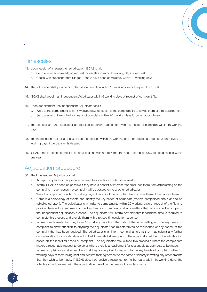### **Timescales**

- 43. Upon receipt of a request for adjudication, ISCAS shall:
	- a. Send a letter acknowledging request for escalation within 3 working days of request.
	- b. Check with subscriber that Stages 1 and 2 have been completed, within 10 working days.
- 44. The subscriber shall provide complaint documentation within 15 working days of request from ISCAS.
- 45. ISCAS shall appoint an Independent Adjudicator within 5 working days of receipt of complaint file.
- 46. Upon appointment, the Independent Adjudicator shall:
	- a. Write to the complainant within 5 working days of receipt of the complaint file to advise them of their appointment.
	- b. Send a letter outlining the key heads of complaint within 20 working days following appointment.
- 47. The complainant and subscriber are required to confirm agreement with key heads of complaint within 10 working days.
- 48. The Independent Adjudicator shall issue the decision within 20 working days, or provide a progress update every 20 working days if the decision is delayed.
- 49. ISCAS aims to complete most of its adjudications within 3 to 6 months and to complete 98% of adjudications within one year.

#### Adjudication procedure

50. The Independent Adjudicator shall:

- a. Accept complaints for adjudication unless they identify a conflict of interest.
- b. Inform ISCAS as soon as possible if they have a conflict of interest that precludes them from adjudicating on the complaint. In such cases the complaint will be passed on to another adjudicator.
- c. Write to complainants within 5 working days of receipt of the complaint file to advise them of their appointment.
- d. Compile a chronology of events and identify the key heads of complaint (matters complained about and to be adjudicated upon). The adjudicator shall write to complainants within 20 working days of receipt of the file and provide them with a summary of the key heads of complaint and any matters that fall outside the scope of the independent adjudication process. The adjudicator will inform complainants if additional time is required to complete this process and provide them with a revised timescale for response.
- e. Inform complainants that they have 10 working days from the date of the letter setting out the key heads of complaint to draw attention to anything the adjudicator has misinterpreted or overlooked or any aspect of the complaint that has been resolved. The adjudicator shall inform complainants that they may submit any further documentation for consideration within that timescale following which the adjudicator will begin the adjudication based on the identified heads of complaint. The adjudicator may extend this timescale where the complainant makes a reasonable request to do so or where there is a requirement for reasonable adjustments to be made.
- f. Inform complainants and subscribers that they are required to respond to the key heads of complaint within 10 working days of them being sent and confirm their agreement to the same or identify in writing any amendments that they wish to be made. If ISCAS does not receive a response from either party within 10 working days, the adjudicator will proceed with the adjudication based on the heads of complaint set out.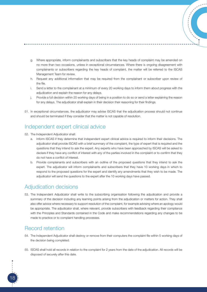- g. Where appropriate, inform complainants and subscribers that the key heads of complaint may be amended on no more than two occasions, unless in exceptional circumstances. Where there is ongoing disagreement with complainants or subscribers regarding the key heads of complaint, the matter will be referred to the ISCAS Management Team for review.
- h. Request any additional information that may be required from the complainant or subscriber upon review of the file.
- i. Send a letter to the complainant at a minimum of every 20 working days to inform them about progress with the adjudication and explain the reason for any delays.
- j. Provide a full decision within 20 working days of being in a position to do so or send a letter explaining the reason for any delays. The adjudicator shall explain in their decision their reasoning for their findings.
- 51. In exceptional circumstances, the adjudicator may advise ISCAS that the adjudication process should not continue and should be terminated if they consider that the matter is not capable of resolution.

#### Independent expert clinical advice

- 52. The Independent Adjudicator shall:
	- a. Inform ISCAS if they determine that independent expert clinical advice is required to inform their decisions. The adjudicator shall provide ISCAS with a brief summary of the complaint, the type of expert that is required and the questions that they intend to ask the expert. Any experts who have been approached by ISCAS will be asked to declare if they have any conflict of interest with any of the parties involved in the complaint or to confirm that they do not have a conflict of interest.
	- b. Provide complainants and subscribers with an outline of the proposed questions that they intend to ask the expert. The adjudicator will inform complainants and subscribers that they have 10 working days in which to respond to the proposed questions for the expert and identify any amendments that they wish to be made. The adjudicator will send the questions to the expert after the 10 working days have passed.

### Adjudication decisions

53. The Independent Adjudicator shall write to the subscribing organisation following the adjudication and provide a summary of the decision including any learning points arising from the adjudication or matters for action. They shall also offer advice where necessary to support resolution of the complaint, for example advising where an apology would be appropriate. The adjudicator shall, where relevant, provide subscribers with feedback regarding their compliance with the Principles and Standards contained in the Code and make recommendations regarding any changes to be made to practice or to complaint handling processes.

## Record retention

- 54. The Independent Adjudicator shall destroy or remove from their computers the complaint file within 5 working days of the decision being completed.
- 55. ISCAS shall hold all records in relation to the complaint for 2 years from the date of the adjudication. All records will be disposed of securely after this date.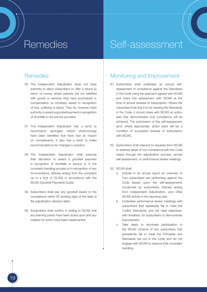## Remedies **Self-assessment**

#### **Remedies**

- 56. The Independent Adjudicator does not have authority to direct subscribers to offer a refund (a return of money where patients are not satisfied with goods or services they have purchased) or compensation (a monetary award in recognition of loss, suffering or injury). They do, however, have authority to award a goodwill payment in recognition of shortfalls in the service provided.
- 57. The Independent Adjudicator has a remit to recommend apologies where shortcomings have been identified that have had an impact on complainants. It also has a remit to make recommendations for changes in practice.
- 58. The Independent Adjudicator shall exercise their discretion to award a goodwill payment in recognition of shortfalls in service or in the complaint handling process or in recognition of any inconvenience, distress arising from the complaint up to a limit of £5,000 in accordance with the ISCAS Goodwill Payments Guide.
- 59. Subscribers shall pay any goodwill award to the complainant within 20 working days of the date of the adjudication decision letter.
- 60. Subscribers shall confirm in writing to ISCAS that any learning points have been acted upon and any matters for action have been implemented.

19

#### Monitoring and Improvement

- 61. Subscribers shall undertake an annual selfassessment of compliance against the Standards in the Code using the approach agreed with ISCAS and share this assessment with ISCAS at the time of annual renewal of subscription. Where the subscriber finds that it is not meeting the Standards in the Code, it should share with ISCAS an action plan that demonstrates how compliance will be achieved. The submission of this self-assessment (and, where appropriate, action plan) will be a condition of successful renewal of subscription with ISCAS.
- 62. Subscribers shall respond to requests from ISCAS to address areas of non-compliance with the Code raised through the adjudication process, annual self-assessment, or performance review meetings.
- 63. ISCAS shall:
	- a. Include in its annual report an overview of how subscribers are performing against the Code based upon the self-assessments conducted by subscribers, themes arising from Independent Adjudication, and other ISCAS activity in the reporting year.
	- b. Undertake performance review meetings with subscribers that repeatedly fail to meet the Code's Standards, and set clear objectives, with timelines, for subscribers to demonstrate improvement.
	- c. Take steps to terminate participation in the ISCAS scheme of any subscribers that persistently fail to meet the Principles and Standards set out in the Code and do not engage with ISCAS to improve their complaint handling.